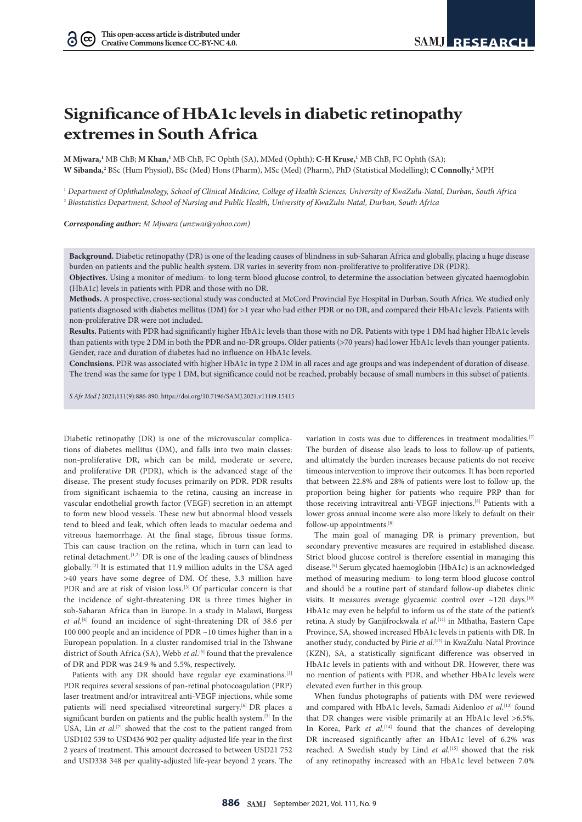$(cc)$ 

# **Significance of HbA1c levels in diabetic retinopathy extremes in South Africa**

**M Mjwara,1** MB ChB; **M Khan,1** MB ChB, FC Ophth (SA), MMed (Ophth); **C-H Kruse,1** MB ChB, FC Ophth (SA); **W Sibanda,2** BSc (Hum Physiol), BSc (Med) Hons (Pharm), MSc (Med) (Pharm), PhD (Statistical Modelling); **C Connolly,2** MPH

<sup>1</sup> *Department of Ophthalmology, School of Clinical Medicine, College of Health Sciences, University of KwaZulu-Natal, Durban, South Africa* <sup>2</sup> *Biostatistics Department, School of Nursing and Public Health, University of KwaZulu-Natal, Durban, South Africa*

*Corresponding author: M Mjwara ([unzwai@yahoo.com](mailto:unzwai@yahoo.com))*

**Background.** Diabetic retinopathy (DR) is one of the leading causes of blindness in sub-Saharan Africa and globally, placing a huge disease burden on patients and the public health system. DR varies in severity from non-proliferative to proliferative DR (PDR).

**Objectives.** Using a monitor of medium- to long-term blood glucose control, to determine the association between glycated haemoglobin (HbA1c) levels in patients with PDR and those with no DR.

**Methods.** A prospective, cross-sectional study was conducted at McCord Provincial Eye Hospital in Durban, South Africa. We studied only patients diagnosed with diabetes mellitus (DM) for >1 year who had either PDR or no DR, and compared their HbA1c levels. Patients with non-proliferative DR were not included.

**Results.** Patients with PDR had significantly higher HbA1c levels than those with no DR. Patients with type 1 DM had higher HbA1c levels than patients with type 2 DM in both the PDR and no-DR groups. Older patients (>70 years) had lower HbA1c levels than younger patients. Gender, race and duration of diabetes had no influence on HbA1c levels.

**Conclusions.** PDR was associated with higher HbA1c in type 2 DM in all races and age groups and was independent of duration of disease. The trend was the same for type 1 DM, but significance could not be reached, probably because of small numbers in this subset of patients.

*S Afr Med J* 2021;111(9):886-890. <https://doi.org/10.7196/SAMJ.2021.v111i9.15415>

Diabetic retinopathy (DR) is one of the microvascular complications of diabetes mellitus (DM), and falls into two main classes: non-proliferative DR, which can be mild, moderate or severe, and proliferative DR (PDR), which is the advanced stage of the disease. The present study focuses primarily on PDR. PDR results from significant ischaemia to the retina, causing an increase in vascular endothelial growth factor (VEGF) secretion in an attempt to form new blood vessels. These new but abnormal blood vessels tend to bleed and leak, which often leads to macular oedema and vitreous haemorrhage. At the final stage, fibrous tissue forms. This can cause traction on the retina, which in turn can lead to retinal detachment.<sup>[1,2]</sup> DR is one of the leading causes of blindness globally.[2] It is estimated that 11.9 million adults in the USA aged >40 years have some degree of DM. Of these, 3.3 million have PDR and are at risk of vision loss.<sup>[3]</sup> Of particular concern is that the incidence of sight-threatening DR is three times higher in sub-Saharan Africa than in Europe. In a study in Malawi, Burgess *et al*. [4] found an incidence of sight-threatening DR of 38.6 per 100 000 people and an incidence of PDR ~10 times higher than in a European population. In a cluster randomised trial in the Tshwane district of South Africa (SA), Webb *et al*. [5] found that the prevalence of DR and PDR was 24.9 % and 5.5%, respectively.

Patients with any DR should have regular eye examinations.<sup>[3]</sup> PDR requires several sessions of pan-retinal photocoagulation (PRP) laser treatment and/or intravitreal anti-VEGF injections, while some patients will need specialised vitreoretinal surgery.<sup>[6]</sup> DR places a significant burden on patients and the public health system.[3] In the USA, Lin *et al.*<sup>[7]</sup> showed that the cost to the patient ranged from USD102 539 to USD436 902 per quality-adjusted life-year in the first 2 years of treatment. This amount decreased to between USD21 752 and USD338 348 per quality-adjusted life-year beyond 2 years. The

variation in costs was due to differences in treatment modalities.[7] The burden of disease also leads to loss to follow-up of patients, and ultimately the burden increases because patients do not receive timeous intervention to improve their outcomes. It has been reported that between 22.8% and 28% of patients were lost to follow-up, the proportion being higher for patients who require PRP than for those receiving intravitreal anti-VEGF injections.[8] Patients with a lower gross annual income were also more likely to default on their follow-up appointments.<sup>[8]</sup>

The main goal of managing DR is primary prevention, but secondary preventive measures are required in established disease. Strict blood glucose control is therefore essential in managing this disease.[9] Serum glycated haemoglobin (HbA1c) is an acknowledged method of measuring medium- to long-term blood glucose control and should be a routine part of standard follow-up diabetes clinic visits. It measures average glycaemic control over  $\sim$ 120 days.<sup>[10]</sup> HbA1c may even be helpful to inform us of the state of the patient's retina. A study by Ganjifrockwala *et al*. [11] in Mthatha, Eastern Cape Province, SA, showed increased HbA1c levels in patients with DR. In another study, conducted by Pirie *et al*. [12] in KwaZulu-Natal Province (KZN), SA, a statistically significant difference was observed in HbA1c levels in patients with and without DR. However, there was no mention of patients with PDR, and whether HbA1c levels were elevated even further in this group.

When fundus photographs of patients with DM were reviewed and compared with HbA1c levels, Samadi Aidenloo et al.<sup>[13]</sup> found that DR changes were visible primarily at an HbA1c level >6.5%. In Korea, Park et al.<sup>[14]</sup> found that the chances of developing DR increased significantly after an HbA1c level of 6.2% was reached. A Swedish study by Lind et al.<sup>[15]</sup> showed that the risk of any retinopathy increased with an HbA1c level between 7.0%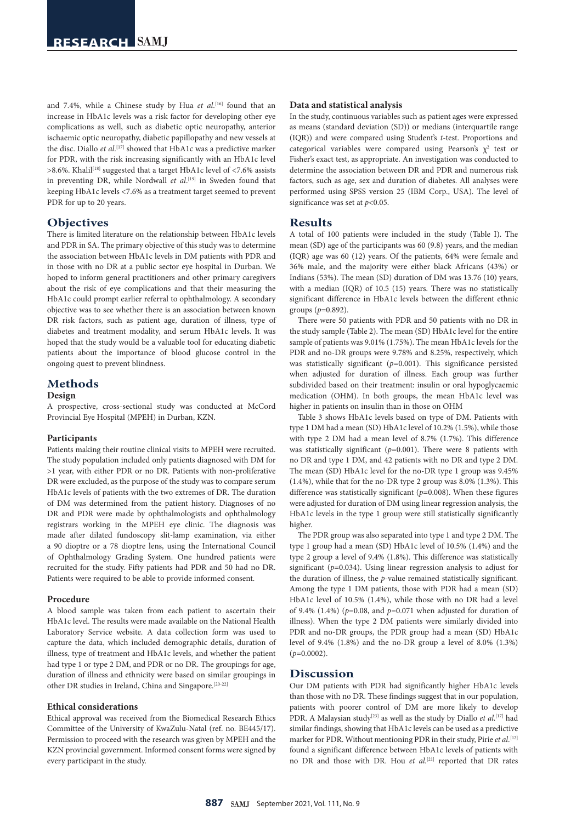and 7.4%, while a Chinese study by Hua *et al*. [16] found that an increase in HbA1c levels was a risk factor for developing other eye complications as well, such as diabetic optic neuropathy, anterior ischaemic optic neuropathy, diabetic papillopathy and new vessels at the disc. Diallo *et al*. [17] showed that HbA1c was a predictive marker for PDR, with the risk increasing significantly with an HbA1c level >8.6%. Khalil<sup>[18]</sup> suggested that a target HbA1c level of <7.6% assists in preventing DR, while Nordwall *et al*. [19] in Sweden found that keeping HbA1c levels <7.6% as a treatment target seemed to prevent PDR for up to 20 years.

# **Objectives**

There is limited literature on the relationship between HbA1c levels and PDR in SA. The primary objective of this study was to determine the association between HbA1c levels in DM patients with PDR and in those with no DR at a public sector eye hospital in Durban. We hoped to inform general practitioners and other primary caregivers about the risk of eye complications and that their measuring the HbA1c could prompt earlier referral to ophthalmology. A secondary objective was to see whether there is an association between known DR risk factors, such as patient age, duration of illness, type of diabetes and treatment modality, and serum HbA1c levels. It was hoped that the study would be a valuable tool for educating diabetic patients about the importance of blood glucose control in the ongoing quest to prevent blindness.

# **Methods**

#### **Design**

A prospective, cross-sectional study was conducted at McCord Provincial Eye Hospital (MPEH) in Durban, KZN.

#### **Participants**

Patients making their routine clinical visits to MPEH were recruited. The study population included only patients diagnosed with DM for >1 year, with either PDR or no DR. Patients with non-proliferative DR were excluded, as the purpose of the study was to compare serum HbA1c levels of patients with the two extremes of DR. The duration of DM was determined from the patient history. Diagnoses of no DR and PDR were made by ophthalmologists and ophthalmology registrars working in the MPEH eye clinic. The diagnosis was made after dilated fundoscopy slit-lamp examination, via either a 90 dioptre or a 78 dioptre lens, using the International Council of Ophthalmology Grading System. One hundred patients were recruited for the study. Fifty patients had PDR and 50 had no DR. Patients were required to be able to provide informed consent.

# **Procedure**

A blood sample was taken from each patient to ascertain their HbA1c level. The results were made available on the National Health Laboratory Service website. A data collection form was used to capture the data, which included demographic details, duration of illness, type of treatment and HbA1c levels, and whether the patient had type 1 or type 2 DM, and PDR or no DR. The groupings for age, duration of illness and ethnicity were based on similar groupings in other DR studies in Ireland, China and Singapore.[20-22]

#### **Ethical considerations**

Ethical approval was received from the Biomedical Research Ethics Committee of the University of KwaZulu-Natal (ref. no. BE445/17). Permission to proceed with the research was given by MPEH and the KZN provincial government. Informed consent forms were signed by every participant in the study.

#### **Data and statistical analysis**

In the study, continuous variables such as patient ages were expressed as means (standard deviation (SD)) or medians (interquartile range (IQR)) and were compared using Student's *t*-test. Proportions and categorical variables were compared using Pearson's  $\chi^2$  test or Fisher's exact test, as appropriate. An investigation was conducted to determine the association between DR and PDR and numerous risk factors, such as age, sex and duration of diabetes. All analyses were performed using SPSS version 25 (IBM Corp., USA). The level of significance was set at *p*<0.05.

# **Results**

A total of 100 patients were included in the study (Table I). The mean (SD) age of the participants was 60 (9.8) years, and the median (IQR) age was 60 (12) years. Of the patients, 64% were female and 36% male, and the majority were either black Africans (43%) or Indians (53%). The mean (SD) duration of DM was 13.76 (10) years, with a median (IQR) of 10.5 (15) years. There was no statistically significant difference in HbA1c levels between the different ethnic groups (*p*=0.892).

There were 50 patients with PDR and 50 patients with no DR in the study sample (Table 2). The mean (SD) HbA1c level for the entire sample of patients was 9.01% (1.75%). The mean HbA1c levels for the PDR and no-DR groups were 9.78% and 8.25%, respectively, which was statistically significant ( $p=0.001$ ). This significance persisted when adjusted for duration of illness. Each group was further subdivided based on their treatment: insulin or oral hypoglycaemic medication (OHM). In both groups, the mean HbA1c level was higher in patients on insulin than in those on OHM

Table 3 shows HbA1c levels based on type of DM. Patients with type 1 DM had a mean (SD) HbA1c level of 10.2% (1.5%), while those with type 2 DM had a mean level of 8.7% (1.7%). This difference was statistically significant  $(p=0.001)$ . There were 8 patients with no DR and type 1 DM, and 42 patients with no DR and type 2 DM. The mean (SD) HbA1c level for the no-DR type 1 group was 9.45% (1.4%), while that for the no-DR type 2 group was 8.0% (1.3%). This difference was statistically significant (*p*=0.008). When these figures were adjusted for duration of DM using linear regression analysis, the HbA1c levels in the type 1 group were still statistically significantly higher.

The PDR group was also separated into type 1 and type 2 DM. The type 1 group had a mean (SD) HbA1c level of 10.5% (1.4%) and the type 2 group a level of 9.4% (1.8%). This difference was statistically significant  $(p=0.034)$ . Using linear regression analysis to adjust for the duration of illness, the *p*-value remained statistically significant. Among the type 1 DM patients, those with PDR had a mean (SD) HbA1c level of 10.5% (1.4%), while those with no DR had a level of 9.4% (1.4%) (*p*=0.08, and *p*=0.071 when adjusted for duration of illness). When the type 2 DM patients were similarly divided into PDR and no-DR groups, the PDR group had a mean (SD) HbA1c level of 9.4% (1.8%) and the no-DR group a level of 8.0% (1.3%) (*p*=0.0002).

# **Discussion**

Our DM patients with PDR had significantly higher HbA1c levels than those with no DR. These findings suggest that in our population, patients with poorer control of DM are more likely to develop PDR. A Malaysian study<sup>[23]</sup> as well as the study by Diallo *et al*.<sup>[17]</sup> had similar findings, showing that HbA1c levels can be used as a predictive marker for PDR. Without mentioning PDR in their study, Pirie *et al*. [12] found a significant difference between HbA1c levels of patients with no DR and those with DR. Hou *et al*. [21] reported that DR rates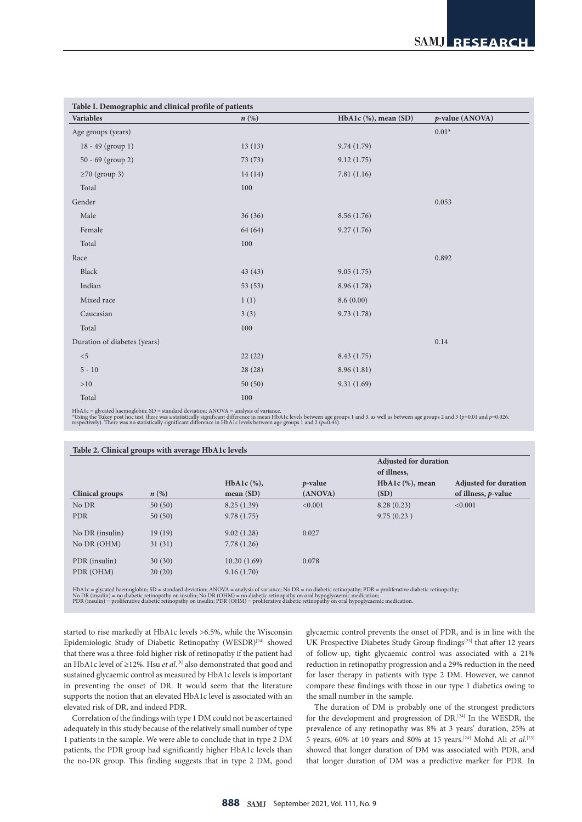| Table I. Demographic and clinical profile of patients |         |                      |                 |  |  |
|-------------------------------------------------------|---------|----------------------|-----------------|--|--|
| Variables                                             | n(%)    | HbA1c (%), mean (SD) | p-value (ANOVA) |  |  |
| Age groups (years)                                    |         |                      | $0.01*$         |  |  |
| 18 - 49 (group 1)                                     | 13(13)  | 9.74(1.79)           |                 |  |  |
| 50 - 69 (group 2)                                     | 73(73)  | 9.12(1.75)           |                 |  |  |
| $\geq$ 70 (group 3)                                   | 14(14)  | 7.81(1.16)           |                 |  |  |
| Total                                                 | 100     |                      |                 |  |  |
| Gender                                                |         |                      | 0.053           |  |  |
| Male                                                  | 36(36)  | 8.56(1.76)           |                 |  |  |
| Female                                                | 64 (64) | 9.27(1.76)           |                 |  |  |
| Total                                                 | 100     |                      |                 |  |  |
| Race                                                  |         |                      | 0.892           |  |  |
| Black                                                 | 43(43)  | 9.05(1.75)           |                 |  |  |
| Indian                                                | 53 (53) | 8.96 (1.78)          |                 |  |  |
| Mixed race                                            | 1(1)    | 8.6(0.00)            |                 |  |  |
| Caucasian                                             | 3(3)    | 9.73(1.78)           |                 |  |  |
| Total                                                 | 100     |                      |                 |  |  |
| Duration of diabetes (years)                          |         |                      | 0.14            |  |  |
| $< 5$                                                 | 22(22)  | 8.43(1.75)           |                 |  |  |
| $5 - 10$                                              | 28 (28) | 8.96 (1.81)          |                 |  |  |
| $>10$                                                 | 50(50)  | 9.31(1.69)           |                 |  |  |
| Total                                                 | 100     |                      |                 |  |  |

HbA1c = glycated haemoglobin; SD = standard deviation; ANOVA = analysis of variance.<br>\*Using the Tukey post hoc test, there was a statistically significant difference in mean HbA1c levels between age groups 1 and 3, as well

|                 | Table 2. Clinical groups with average HbA1c levels |                |            |                              |                              |  |
|-----------------|----------------------------------------------------|----------------|------------|------------------------------|------------------------------|--|
|                 |                                                    |                |            | <b>Adjusted for duration</b> |                              |  |
|                 |                                                    |                |            | of illness,                  |                              |  |
|                 |                                                    | HbA1c $(\%)$ , | $p$ -value | $HbA1c$ (%), mean            | <b>Adjusted for duration</b> |  |
| Clinical groups | $n\left(\%\right)$                                 | mean(SD)       | (ANOVA)    | (SD)                         | of illness, $p$ -value       |  |
| No DR           | 50(50)                                             | 8.25(1.39)     | < 0.001    | 8.28(0.23)                   | < 0.001                      |  |
| <b>PDR</b>      | 50(50)                                             | 9.78(1.75)     |            | 9.75(0.23)                   |                              |  |
| No DR (insulin) | 19(19)                                             | 9.02(1.28)     | 0.027      |                              |                              |  |
| No DR (OHM)     | 31(31)                                             | 7.78(1.26)     |            |                              |                              |  |
| PDR (insulin)   | 30(30)                                             | 10.20(1.69)    | 0.078      |                              |                              |  |
| PDR (OHM)       | 20(20)                                             | 9.16(1.70)     |            |                              |                              |  |
|                 |                                                    |                |            |                              |                              |  |

HbA1c = glycated haemoglobin; SD = standard deviation; ANOVA = analysis of variance; No DR = no diabetic retinopathy; PDR = proliferative diabetic retinopathy;<br>No DR (insulin) = no diabetic retinopathy on insulin; No DR (O

started to rise markedly at HbA1c levels >6.5%, while the Wisconsin Epidemiologic Study of Diabetic Retinopathy (WESDR)<sup>[24]</sup> showed that there was a three-fold higher risk of retinopathy if the patient had an HbA1c level of ≥12%. Hsu *et al*. [9] also demonstrated that good and sustained glycaemic control as measured by HbA1c levels is important in preventing the onset of DR. It would seem that the literature supports the notion that an elevated HbA1c level is associated with an elevated risk of DR, and indeed PDR.

Correlation of the findings with type 1 DM could not be ascertained adequately in this study because of the relatively small number of type 1 patients in the sample. We were able to conclude that in type 2 DM patients, the PDR group had significantly higher HbA1c levels than the no-DR group. This finding suggests that in type 2 DM, good glycaemic control prevents the onset of PDR, and is in line with the UK Prospective Diabetes Study Group findings<sup>[25]</sup> that after 12 years of follow-up, tight glycaemic control was associated with a 21% reduction in retinopathy progression and a 29% reduction in the need for laser therapy in patients with type 2 DM. However, we cannot compare these findings with those in our type 1 diabetics owing to the small number in the sample.

The duration of DM is probably one of the strongest predictors for the development and progression of DR.[24] In the WESDR, the prevalence of any retinopathy was 8% at 3 years' duration, 25% at 5 years, 60% at 10 years and 80% at 15 years.[24] Mohd Ali *et al*. [23] showed that longer duration of DM was associated with PDR, and that longer duration of DM was a predictive marker for PDR. In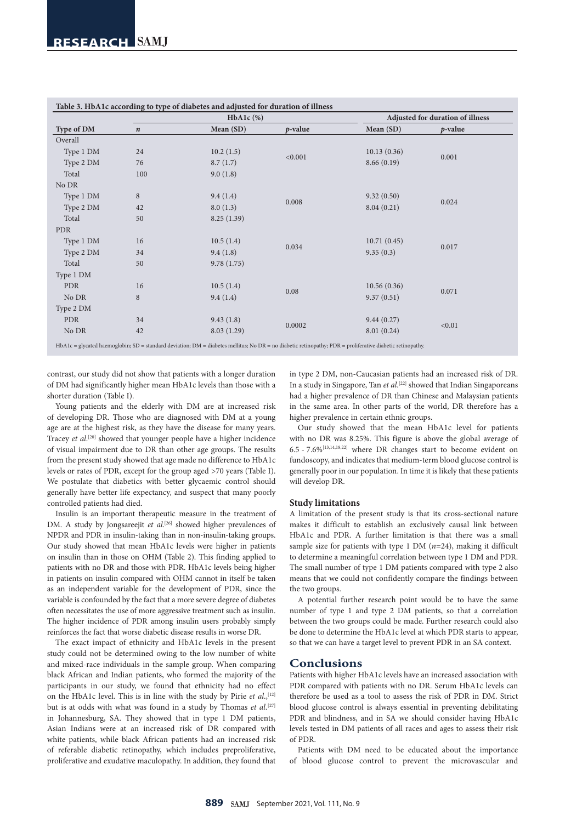| Type of DM |                  | $HbA1c$ (%) |            |             | Adjusted for duration of illness |  |
|------------|------------------|-------------|------------|-------------|----------------------------------|--|
|            | $\boldsymbol{n}$ | Mean (SD)   | $p$ -value | Mean (SD)   | $p$ -value                       |  |
| Overall    |                  |             |            |             |                                  |  |
| Type 1 DM  | 24               | 10.2(1.5)   | < 0.001    | 10.13(0.36) | 0.001                            |  |
| Type 2 DM  | 76               | 8.7(1.7)    |            | 8.66(0.19)  |                                  |  |
| Total      | 100              | 9.0(1.8)    |            |             |                                  |  |
| No DR      |                  |             |            |             |                                  |  |
| Type 1 DM  | $\,$ 8 $\,$      | 9.4(1.4)    | 0.008      | 9.32(0.50)  | 0.024                            |  |
| Type 2 DM  | 42               | 8.0(1.3)    |            | 8.04(0.21)  |                                  |  |
| Total      | 50               | 8.25(1.39)  |            |             |                                  |  |
| <b>PDR</b> |                  |             |            |             |                                  |  |
| Type 1 DM  | 16               | 10.5(1.4)   | 0.034      | 10.71(0.45) | 0.017                            |  |
| Type 2 DM  | 34               | 9.4(1.8)    |            | 9.35(0.3)   |                                  |  |
| Total      | 50               | 9.78(1.75)  |            |             |                                  |  |
| Type 1 DM  |                  |             |            |             |                                  |  |
| <b>PDR</b> | 16               | 10.5(1.4)   | 0.08       | 10.56(0.36) | 0.071                            |  |
| No DR      | $\,$ 8 $\,$      | 9.4(1.4)    |            | 9.37(0.51)  |                                  |  |
| Type 2 DM  |                  |             |            |             |                                  |  |
| <b>PDR</b> | 34               | 9.43(1.8)   | 0.0002     | 9.44(0.27)  | < 0.01                           |  |
| No DR      | 42               | 8.03(1.29)  |            | 8.01(0.24)  |                                  |  |

**Table 3. HbA1c according to type of diabetes and adjusted for duration of illness**

contrast, our study did not show that patients with a longer duration

of DM had significantly higher mean HbA1c levels than those with a shorter duration (Table I).

Young patients and the elderly with DM are at increased risk of developing DR. Those who are diagnosed with DM at a young age are at the highest risk, as they have the disease for many years. Tracey et al.<sup>[20]</sup> showed that younger people have a higher incidence of visual impairment due to DR than other age groups. The results from the present study showed that age made no difference to HbA1c levels or rates of PDR, except for the group aged >70 years (Table I). We postulate that diabetics with better glycaemic control should generally have better life expectancy, and suspect that many poorly controlled patients had died.

Insulin is an important therapeutic measure in the treatment of DM. A study by Jongsareejit *et al.*<sup>[26]</sup> showed higher prevalences of NPDR and PDR in insulin-taking than in non-insulin-taking groups. Our study showed that mean HbA1c levels were higher in patients on insulin than in those on OHM (Table 2). This finding applied to patients with no DR and those with PDR. HbA1c levels being higher in patients on insulin compared with OHM cannot in itself be taken as an independent variable for the development of PDR, since the variable is confounded by the fact that a more severe degree of diabetes often necessitates the use of more aggressive treatment such as insulin. The higher incidence of PDR among insulin users probably simply reinforces the fact that worse diabetic disease results in worse DR.

The exact impact of ethnicity and HbA1c levels in the present study could not be determined owing to the low number of white and mixed-race individuals in the sample group. When comparing black African and Indian patients, who formed the majority of the participants in our study, we found that ethnicity had no effect on the HbA1c level. This is in line with the study by Pirie et al.,<sup>[12]</sup> but is at odds with what was found in a study by Thomas *et al*. [27] in Johannesburg, SA. They showed that in type 1 DM patients, Asian Indians were at an increased risk of DR compared with white patients, while black African patients had an increased risk of referable diabetic retinopathy, which includes preproliferative, proliferative and exudative maculopathy. In addition, they found that

in type 2 DM, non-Caucasian patients had an increased risk of DR. In a study in Singapore, Tan *et al*. [22] showed that Indian Singaporeans had a higher prevalence of DR than Chinese and Malaysian patients in the same area. In other parts of the world, DR therefore has a higher prevalence in certain ethnic groups.

Our study showed that the mean HbA1c level for patients with no DR was 8.25%. This figure is above the global average of 6.5 - 7.6%[13,14,18,22] where DR changes start to become evident on fundoscopy, and indicates that medium-term blood glucose control is generally poor in our population. In time it is likely that these patients will develop DR.

### **Study limitations**

A limitation of the present study is that its cross-sectional nature makes it difficult to establish an exclusively causal link between HbA1c and PDR. A further limitation is that there was a small sample size for patients with type 1 DM (*n*=24), making it difficult to determine a meaningful correlation between type 1 DM and PDR. The small number of type 1 DM patients compared with type 2 also means that we could not confidently compare the findings between the two groups.

A potential further research point would be to have the same number of type 1 and type 2 DM patients, so that a correlation between the two groups could be made. Further research could also be done to determine the HbA1c level at which PDR starts to appear, so that we can have a target level to prevent PDR in an SA context.

# **Conclusions**

Patients with higher HbA1c levels have an increased association with PDR compared with patients with no DR. Serum HbA1c levels can therefore be used as a tool to assess the risk of PDR in DM. Strict blood glucose control is always essential in preventing debilitating PDR and blindness, and in SA we should consider having HbA1c levels tested in DM patients of all races and ages to assess their risk of PDR.

Patients with DM need to be educated about the importance of blood glucose control to prevent the microvascular and